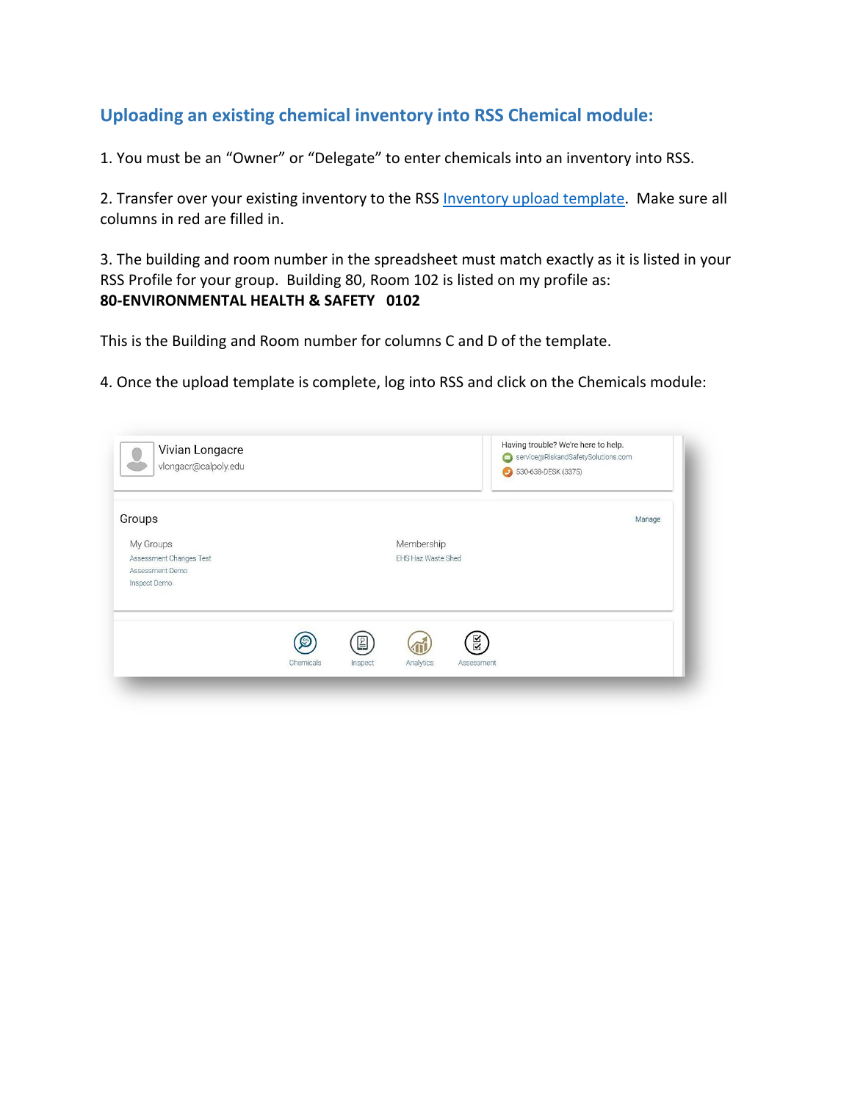## **Uploading an existing chemical inventory into RSS Chemical module:**

1. You must be an "Owner" or "Delegate" to enter chemicals into an inventory into RSS.

2. Transfer over your existing inventory to the RSS [Inventory upload template.](file://ad.calpoly.edu/AFD-Webroot/afd.calpoly.edu/ehs/docs/Import_template%20-%20Cal%20Poly.xlsx) Make sure all columns in red are filled in.

3. The building and room number in the spreadsheet must match exactly as it is listed in your RSS Profile for your group. Building 80, Room 102 is listed on my profile as: **80-ENVIRONMENTAL HEALTH & SAFETY 0102**

This is the Building and Room number for columns C and D of the template.

4. Once the upload template is complete, log into RSS and click on the Chemicals module:

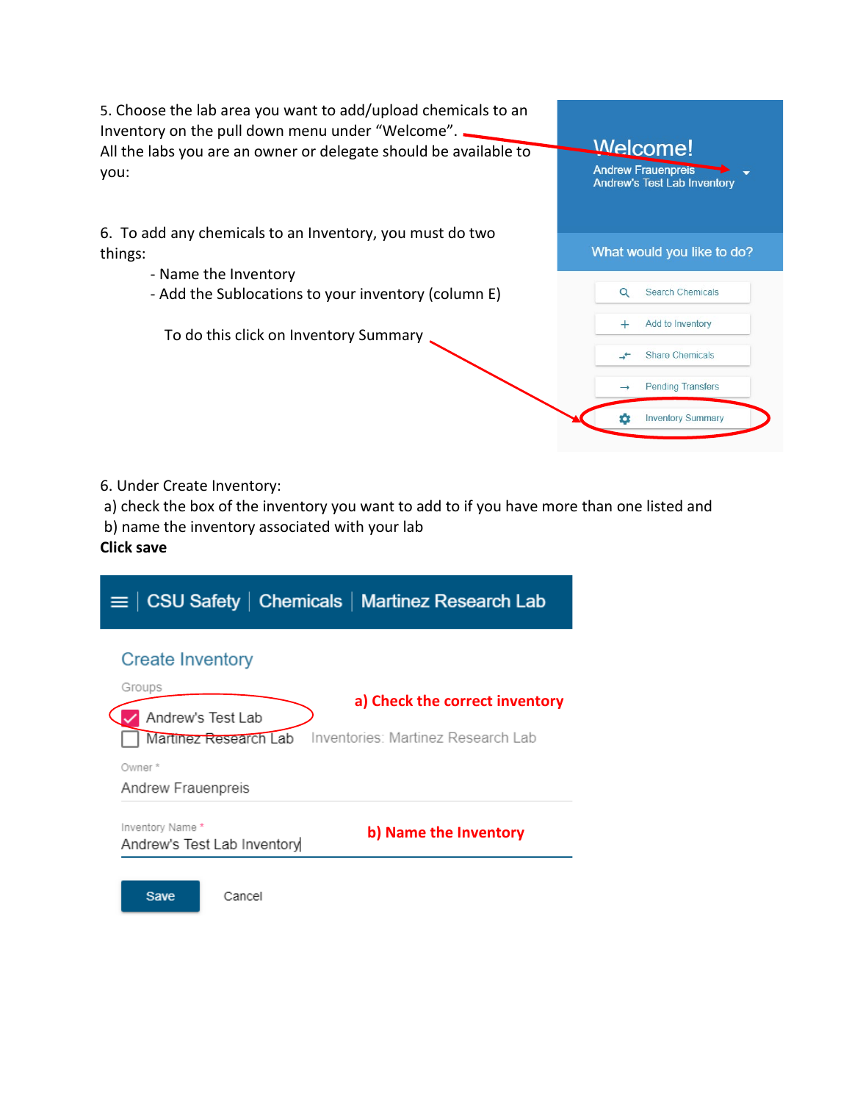

6. Under Create Inventory:

a) check the box of the inventory you want to add to if you have more than one listed and

b) name the inventory associated with your lab

## **Click save**

| $\equiv$ $\vert$ CSU Safety $\vert$ Chemicals $\vert$ Martinez Research Lab |                                    |
|-----------------------------------------------------------------------------|------------------------------------|
| <b>Create Inventory</b><br>Groups<br>Andrew's Test Lab                      | a) Check the correct inventory     |
| Martinez Research Lab<br>Owner*<br>Andrew Frauenpreis                       | Inventories: Martinez Research Lab |
| Inventory Name *<br>Andrew's Test Lab Inventory                             | b) Name the Inventory              |
| Save<br>Cancel                                                              |                                    |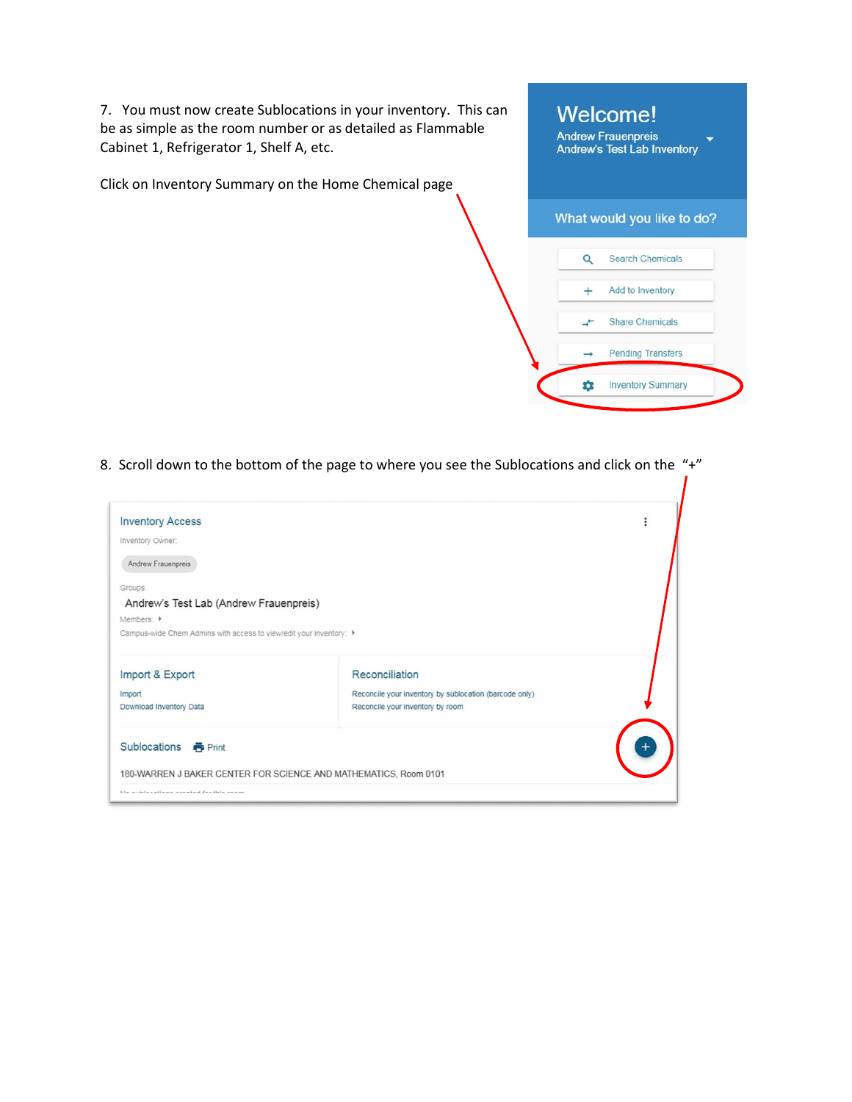7. You must now create Sublocations in your inventory. This can be as simple as the room number or as detailed as Flammable Cabinet 1, Refrigerator 1, Shelf A, etc.

Click on Inventory Summary on the Home Chemical page



8. Scroll down to the bottom of the page to where you see the Sublocations and click on the "+"

| <b>Inventory Access</b>                                                                                                                                                  |                                                                                                              |  |
|--------------------------------------------------------------------------------------------------------------------------------------------------------------------------|--------------------------------------------------------------------------------------------------------------|--|
| Inventory Owner:<br>Andrew Frauenpreis                                                                                                                                   |                                                                                                              |  |
| Groups:<br>Andrew's Test Lab (Andrew Frauenpreis)<br>Members: $\triangleright$<br>Campus-wide Chem Admins with access to view/edit your inventory: $\blacktriangleright$ |                                                                                                              |  |
| Import & Export<br>Import<br>Download Inventory Data                                                                                                                     | Reconciliation<br>Reconcile your inventory by sublocation (barcode only)<br>Reconcile your inventory by room |  |
| Sublocations <b>&amp;</b> Print<br>180-WARREN J BAKER CENTER FOR SCIENCE AND MATHEMATICS, Room 0101<br>Me subleastions assated for this room                             |                                                                                                              |  |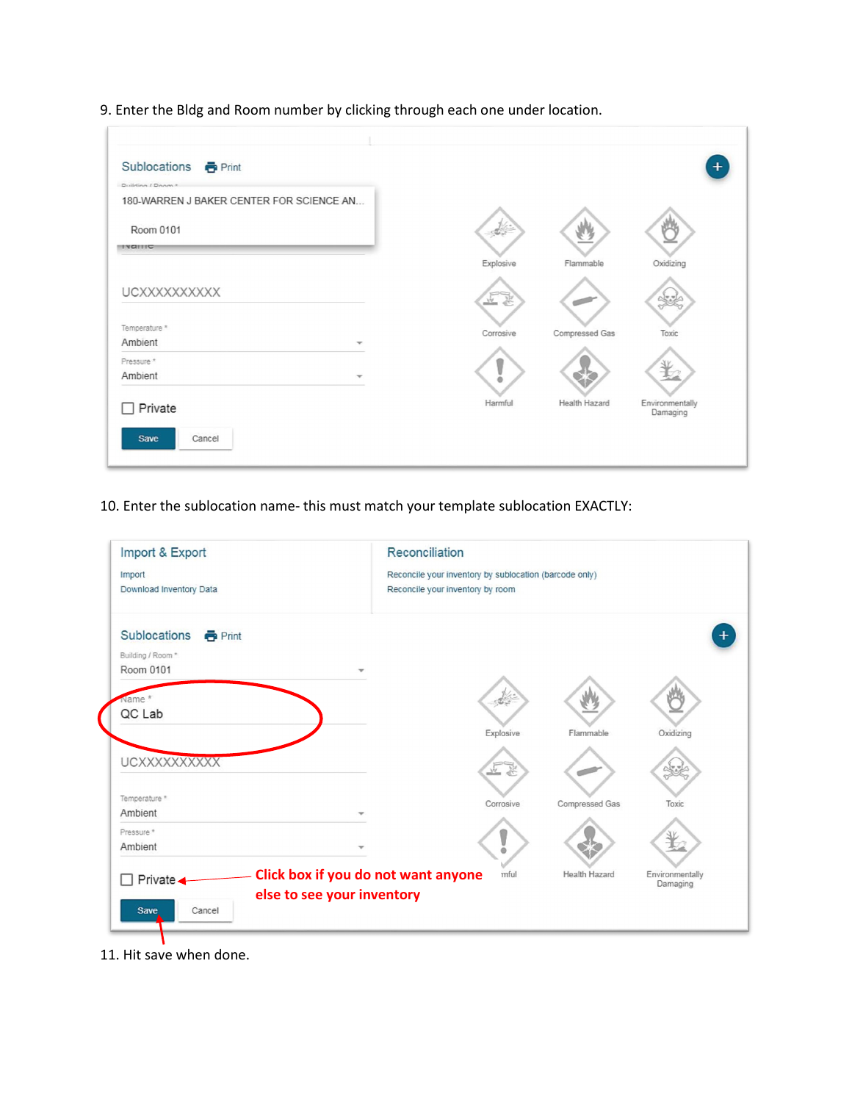9. Enter the Bldg and Room number by clicking through each one under location.

| Sublocations <b>&amp;</b> Print                               |           |                |                             |
|---------------------------------------------------------------|-----------|----------------|-----------------------------|
| Duilding / Doom &<br>180-WARREN J BAKER CENTER FOR SCIENCE AN |           |                |                             |
| Room 0101<br><b>IVAILIC</b>                                   |           |                |                             |
|                                                               | Explosive | Flammable      | Oxidizing                   |
| UCXXXXXXXXXX                                                  | 在室        |                |                             |
| Temperature *<br>Ambient                                      | Corrosive | Compressed Gas | Toxic                       |
| Pressure *<br>Ambient                                         | a.        |                |                             |
| Private                                                       | Harmful   | Health Hazard  | Environmentally<br>Damaging |
| Save<br>Cancel                                                |           |                |                             |

10. Enter the sublocation name- this must match your template sublocation EXACTLY:



11. Hit save when done.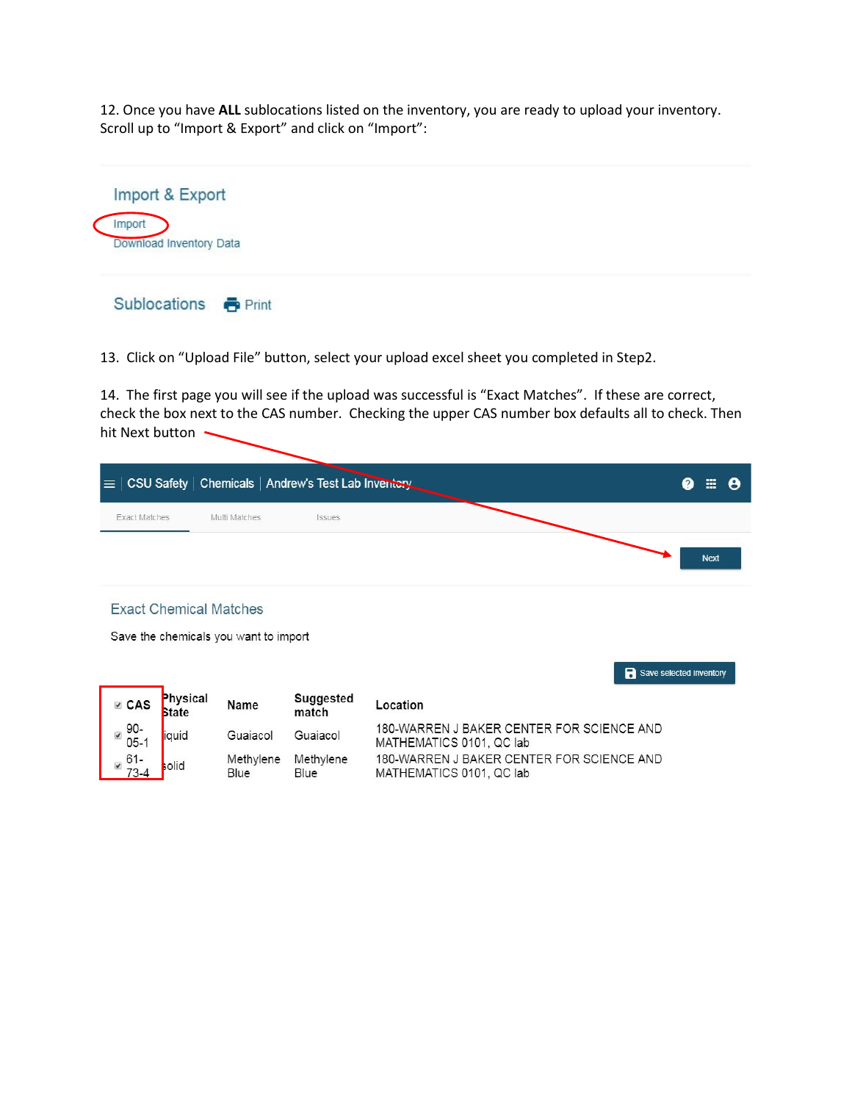12. Once you have **ALL** sublocations listed on the inventory, you are ready to upload your inventory. Scroll up to "Import & Export" and click on "Import":



13. Click on "Upload File" button, select your upload excel sheet you completed in Step2.

14. The first page you will see if the upload was successful is "Exact Matches". If these are correct, check the box next to the CAS number. Checking the upper CAS number box defaults all to check. Then hit Next button ~

|               |               | $\equiv$ $ $ CSU Safety $ $ Chemicals $ $ Andrew's Test Lab Inventory | ❷ | $\mathbb{H}$ | A |
|---------------|---------------|-----------------------------------------------------------------------|---|--------------|---|
| Exact Matches | Multi Matches | Issues                                                                |   | <b>Next</b>  |   |

Save selected inventory

## **Exact Chemical Matches**

Save the chemicals you want to import

Physical Suggested **Ø** CAS Name Location State match 180-WARREN J BAKER CENTER FOR SCIENCE AND 90- $\blacktriangledown$ iquid Guaiacol Guaiacol  $05-1$ MATHEMATICS 0101, QC lab ■  $61 -$ <br>73-4 180-WARREN J BAKER CENTER FOR SCIENCE AND Methylene Methylene olid Blue Blue MATHEMATICS 0101, QC lab